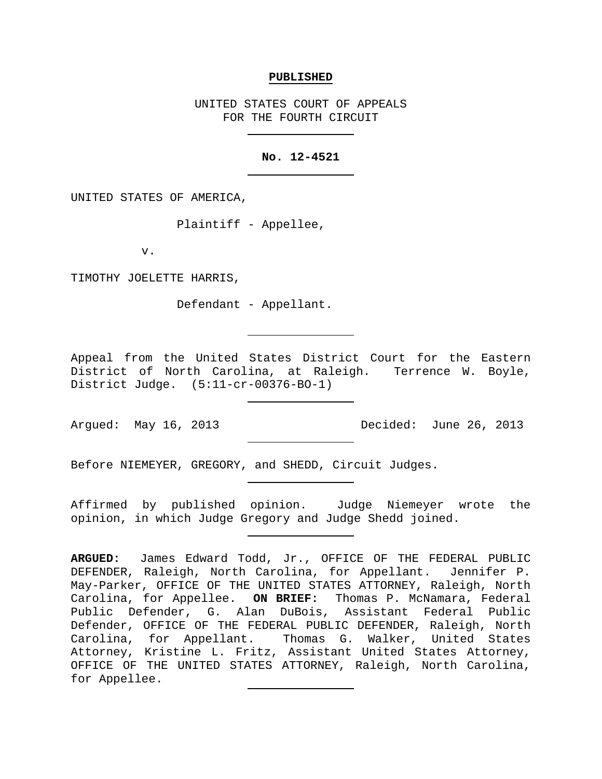## **PUBLISHED**

UNITED STATES COURT OF APPEALS FOR THE FOURTH CIRCUIT

## **No. 12-4521**

UNITED STATES OF AMERICA,

Plaintiff - Appellee,

v.

TIMOTHY JOELETTE HARRIS,

Defendant - Appellant.

Appeal from the United States District Court for the Eastern District of North Carolina, at Raleigh. Terrence W. Boyle, District Judge. (5:11-cr-00376-BO-1)

Argued: May 16, 2013 Decided: June 26, 2013

Before NIEMEYER, GREGORY, and SHEDD, Circuit Judges.

Affirmed by published opinion. Judge Niemeyer wrote the opinion, in which Judge Gregory and Judge Shedd joined.

**ARGUED:** James Edward Todd, Jr., OFFICE OF THE FEDERAL PUBLIC DEFENDER, Raleigh, North Carolina, for Appellant. Jennifer P. May-Parker, OFFICE OF THE UNITED STATES ATTORNEY, Raleigh, North Carolina, for Appellee. **ON BRIEF:** Thomas P. McNamara, Federal Public Defender, G. Alan DuBois, Assistant Federal Public Defender, OFFICE OF THE FEDERAL PUBLIC DEFENDER, Raleigh, North<br>Carolina, for Appellant. Thomas G. Walker, United States Thomas G. Walker, United States Attorney, Kristine L. Fritz, Assistant United States Attorney, OFFICE OF THE UNITED STATES ATTORNEY, Raleigh, North Carolina, for Appellee.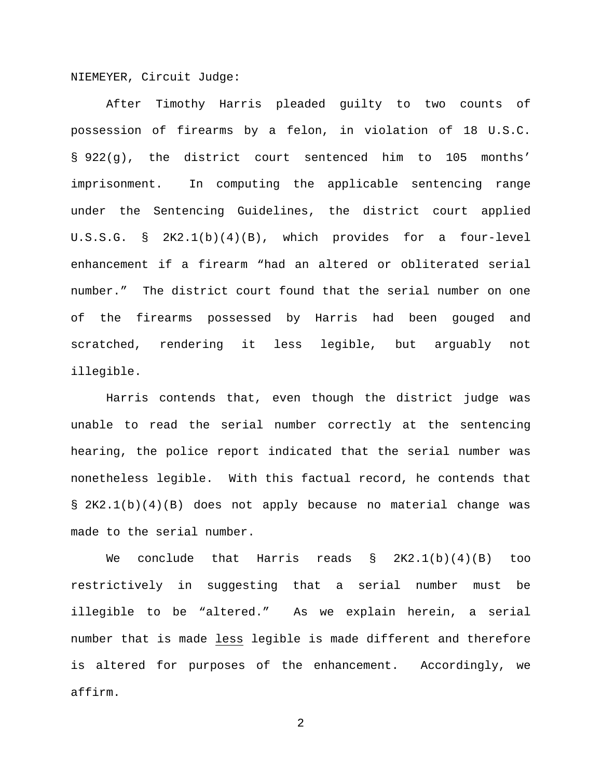NIEMEYER, Circuit Judge:

After Timothy Harris pleaded guilty to two counts of possession of firearms by a felon, in violation of 18 U.S.C. § 922(g), the district court sentenced him to 105 months' imprisonment. In computing the applicable sentencing range under the Sentencing Guidelines, the district court applied U.S.S.G. § 2K2.1(b)(4)(B), which provides for a four-level enhancement if a firearm "had an altered or obliterated serial number." The district court found that the serial number on one of the firearms possessed by Harris had been gouged and scratched, rendering it less legible, but arguably not illegible.

Harris contends that, even though the district judge was unable to read the serial number correctly at the sentencing hearing, the police report indicated that the serial number was nonetheless legible. With this factual record, he contends that § 2K2.1(b)(4)(B) does not apply because no material change was made to the serial number.

We conclude that Harris reads § 2K2.1(b)(4)(B) too restrictively in suggesting that a serial number must be illegible to be "altered." As we explain herein, a serial number that is made less legible is made different and therefore is altered for purposes of the enhancement. Accordingly, we affirm.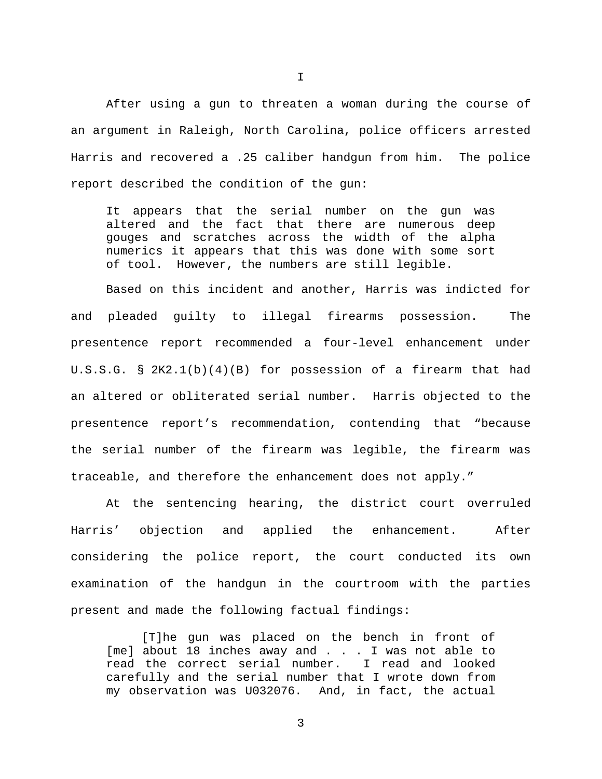After using a gun to threaten a woman during the course of an argument in Raleigh, North Carolina, police officers arrested Harris and recovered a .25 caliber handgun from him. The police report described the condition of the gun:

It appears that the serial number on the gun was altered and the fact that there are numerous deep gouges and scratches across the width of the alpha numerics it appears that this was done with some sort of tool. However, the numbers are still legible.

Based on this incident and another, Harris was indicted for and pleaded guilty to illegal firearms possession. The presentence report recommended a four-level enhancement under U.S.S.G. § 2K2.1(b)(4)(B) for possession of a firearm that had an altered or obliterated serial number. Harris objected to the presentence report's recommendation, contending that "because the serial number of the firearm was legible, the firearm was traceable, and therefore the enhancement does not apply."

At the sentencing hearing, the district court overruled Harris' objection and applied the enhancement. After considering the police report, the court conducted its own examination of the handgun in the courtroom with the parties present and made the following factual findings:

[T]he gun was placed on the bench in front of [me] about 18 inches away and . . . I was not able to<br>read the correct serial number. I read and looked read the correct serial number. carefully and the serial number that I wrote down from my observation was U032076. And, in fact, the actual

I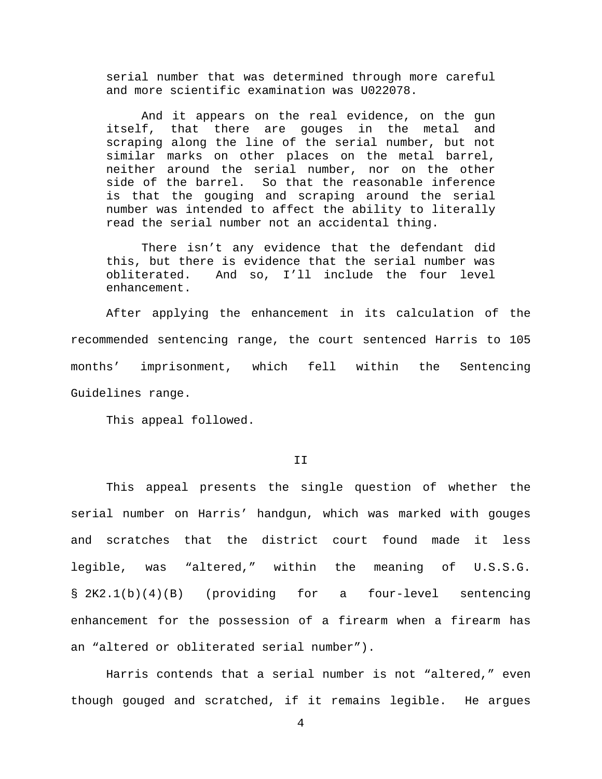serial number that was determined through more careful and more scientific examination was U022078.

And it appears on the real evidence, on the gun itself, that there are gouges in the metal and scraping along the line of the serial number, but not similar marks on other places on the metal barrel, neither around the serial number, nor on the other side of the barrel. So that the reasonable inference is that the gouging and scraping around the serial number was intended to affect the ability to literally read the serial number not an accidental thing.

There isn't any evidence that the defendant did this, but there is evidence that the serial number was obliterated. And so, I'll include the four level enhancement.

After applying the enhancement in its calculation of the recommended sentencing range, the court sentenced Harris to 105 months' imprisonment, which fell within the Sentencing Guidelines range.

This appeal followed.

## II

This appeal presents the single question of whether the serial number on Harris' handgun, which was marked with gouges and scratches that the district court found made it less legible, was "altered," within the meaning of U.S.S.G. § 2K2.1(b)(4)(B) (providing for a four-level sentencing enhancement for the possession of a firearm when a firearm has an "altered or obliterated serial number").

Harris contends that a serial number is not "altered," even though gouged and scratched, if it remains legible. He argues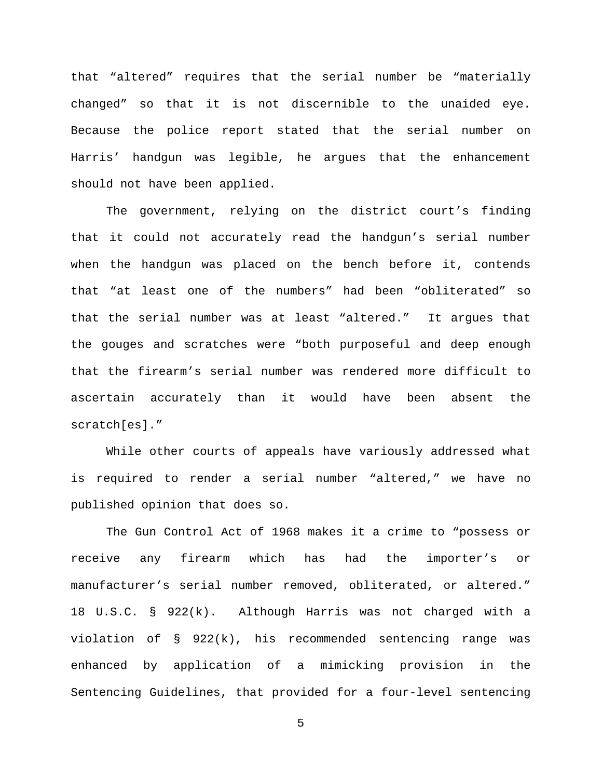that "altered" requires that the serial number be "materially changed" so that it is not discernible to the unaided eye. Because the police report stated that the serial number on Harris' handgun was legible, he argues that the enhancement should not have been applied.

The government, relying on the district court's finding that it could not accurately read the handgun's serial number when the handgun was placed on the bench before it, contends that "at least one of the numbers" had been "obliterated" so that the serial number was at least "altered." It argues that the gouges and scratches were "both purposeful and deep enough that the firearm's serial number was rendered more difficult to ascertain accurately than it would have been absent the scratch[es]."

While other courts of appeals have variously addressed what is required to render a serial number "altered," we have no published opinion that does so.

The Gun Control Act of 1968 makes it a crime to "possess or receive any firearm which has had the importer's or manufacturer's serial number removed, obliterated, or altered." 18 U.S.C. § 922(k). Although Harris was not charged with a violation of § 922(k), his recommended sentencing range was enhanced by application of a mimicking provision in the Sentencing Guidelines, that provided for a four-level sentencing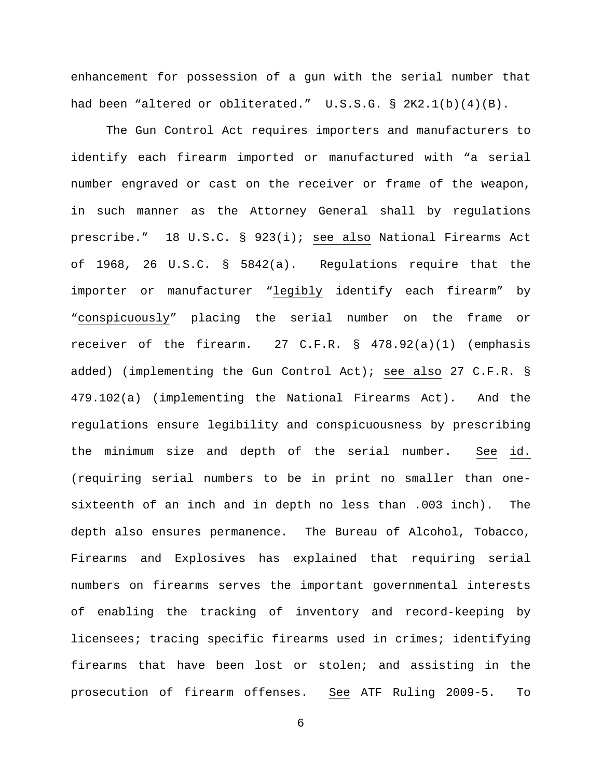enhancement for possession of a gun with the serial number that had been "altered or obliterated." U.S.S.G. § 2K2.1(b)(4)(B).

The Gun Control Act requires importers and manufacturers to identify each firearm imported or manufactured with "a serial number engraved or cast on the receiver or frame of the weapon, in such manner as the Attorney General shall by regulations prescribe." 18 U.S.C. § 923(i); see also National Firearms Act of 1968, 26 U.S.C. § 5842(a). Regulations require that the importer or manufacturer "legibly identify each firearm" by "conspicuously" placing the serial number on the frame or receiver of the firearm. 27 C.F.R. § 478.92(a)(1) (emphasis added) (implementing the Gun Control Act); see also 27 C.F.R. § 479.102(a) (implementing the National Firearms Act). And the regulations ensure legibility and conspicuousness by prescribing the minimum size and depth of the serial number. See id. (requiring serial numbers to be in print no smaller than onesixteenth of an inch and in depth no less than .003 inch). The depth also ensures permanence. The Bureau of Alcohol, Tobacco, Firearms and Explosives has explained that requiring serial numbers on firearms serves the important governmental interests of enabling the tracking of inventory and record-keeping by licensees; tracing specific firearms used in crimes; identifying firearms that have been lost or stolen; and assisting in the prosecution of firearm offenses. See ATF Ruling 2009-5. To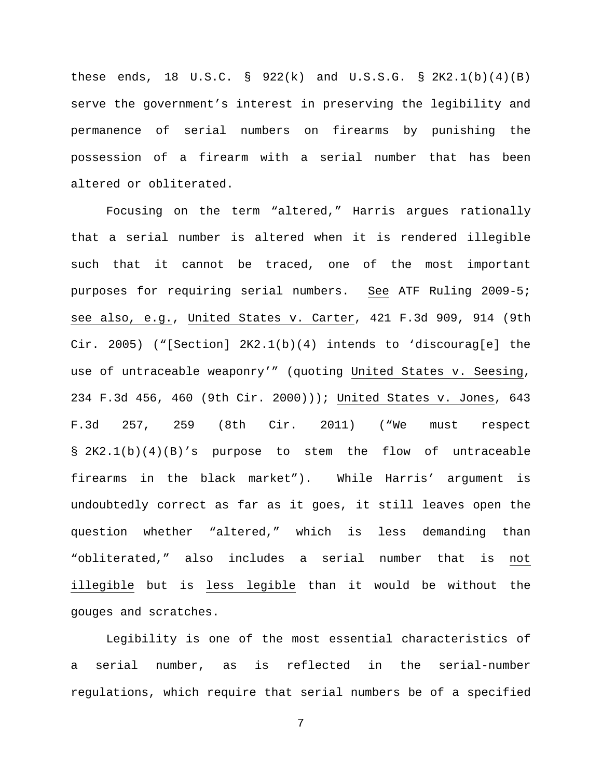these ends, 18  $U.S.C. \S 922(k)$  and  $U.S.S.G. \S 2K2.1(b)(4)(B)$ serve the government's interest in preserving the legibility and permanence of serial numbers on firearms by punishing the possession of a firearm with a serial number that has been altered or obliterated.

Focusing on the term "altered," Harris argues rationally that a serial number is altered when it is rendered illegible such that it cannot be traced, one of the most important purposes for requiring serial numbers. See ATF Ruling 2009-5; see also, e.g., United States v. Carter, 421 F.3d 909, 914 (9th Cir. 2005) ("[Section]  $2K2.1(b)(4)$  intends to 'discourag[e] the use of untraceable weaponry'" (quoting United States v. Seesing, 234 F.3d 456, 460 (9th Cir. 2000))); United States v. Jones, 643 F.3d 257, 259 (8th Cir. 2011) ("We must respect § 2K2.1(b)(4)(B)'s purpose to stem the flow of untraceable firearms in the black market"). While Harris' argument is undoubtedly correct as far as it goes, it still leaves open the question whether "altered," which is less demanding than "obliterated," also includes a serial number that is not illegible but is less legible than it would be without the gouges and scratches.

Legibility is one of the most essential characteristics of a serial number, as is reflected in the serial-number regulations, which require that serial numbers be of a specified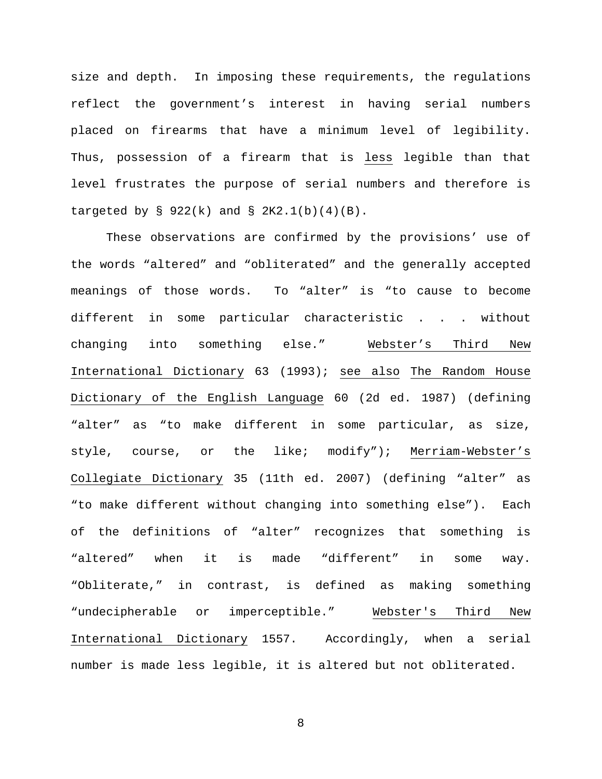size and depth. In imposing these requirements, the regulations reflect the government's interest in having serial numbers placed on firearms that have a minimum level of legibility. Thus, possession of a firearm that is less legible than that level frustrates the purpose of serial numbers and therefore is targeted by § 922(k) and § 2K2.1(b)(4)(B).

These observations are confirmed by the provisions' use of the words "altered" and "obliterated" and the generally accepted meanings of those words. To "alter" is "to cause to become different in some particular characteristic . . . without changing into something else." Webster's Third New International Dictionary 63 (1993); see also The Random House Dictionary of the English Language 60 (2d ed. 1987) (defining "alter" as "to make different in some particular, as size, style, course, or the like; modify"); Merriam-Webster's Collegiate Dictionary 35 (11th ed. 2007) (defining "alter" as "to make different without changing into something else"). Each of the definitions of "alter" recognizes that something is "altered" when it is made "different" in some way. "Obliterate," in contrast, is defined as making something "undecipherable or imperceptible." Webster's Third New International Dictionary 1557. Accordingly, when a serial number is made less legible, it is altered but not obliterated.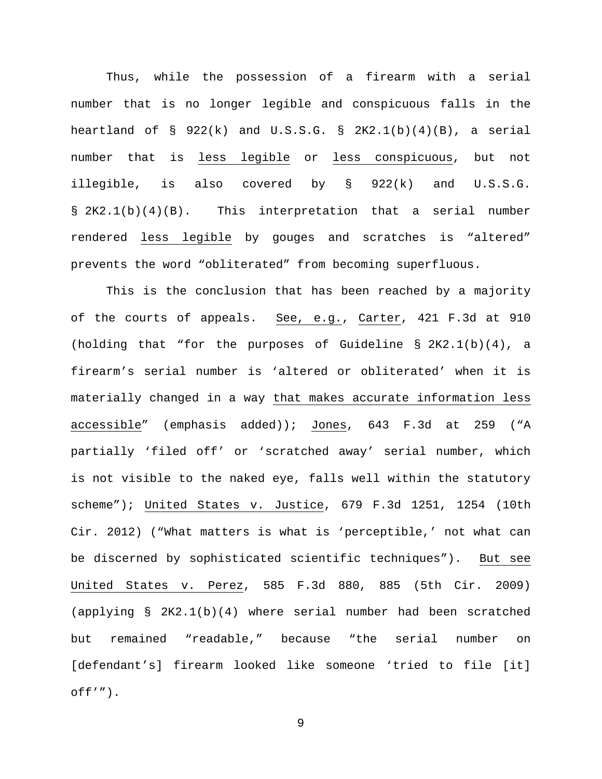Thus, while the possession of a firearm with a serial number that is no longer legible and conspicuous falls in the heartland of  $\S$  922(k) and U.S.S.G.  $\S$  2K2.1(b)(4)(B), a serial number that is less legible or less conspicuous, but not illegible, is also covered by § 922(k) and U.S.S.G. § 2K2.1(b)(4)(B). This interpretation that a serial number rendered less legible by gouges and scratches is "altered" prevents the word "obliterated" from becoming superfluous.

This is the conclusion that has been reached by a majority of the courts of appeals. See, e.g., Carter, 421 F.3d at 910 (holding that "for the purposes of Guideline §  $2K2.1(b)(4)$ , a firearm's serial number is 'altered or obliterated' when it is materially changed in a way that makes accurate information less accessible" (emphasis added)); Jones, 643 F.3d at 259 ("A partially 'filed off' or 'scratched away' serial number, which is not visible to the naked eye, falls well within the statutory scheme"); United States v. Justice, 679 F.3d 1251, 1254 (10th Cir. 2012) ("What matters is what is 'perceptible,' not what can be discerned by sophisticated scientific techniques"). But see United States v. Perez, 585 F.3d 880, 885 (5th Cir. 2009) (applying § 2K2.1(b)(4) where serial number had been scratched but remained "readable," because "the serial number on [defendant's] firearm looked like someone 'tried to file [it]  $off'$ ").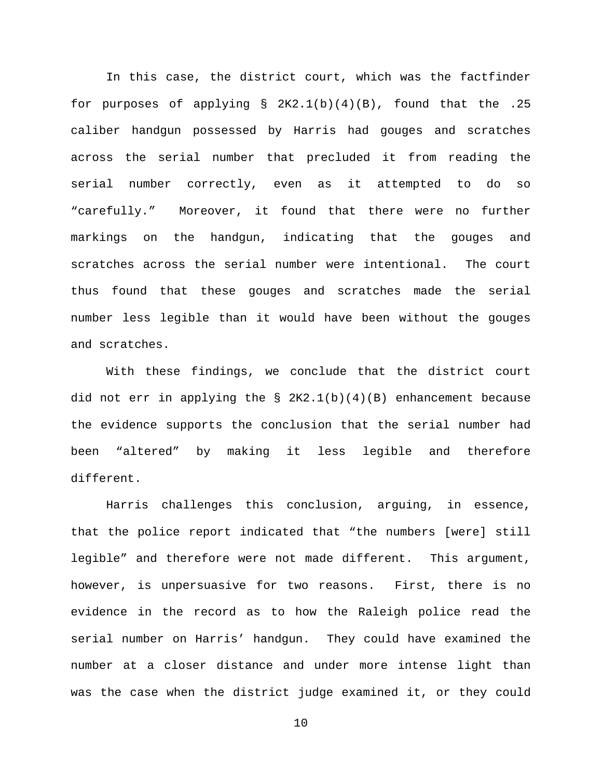In this case, the district court, which was the factfinder for purposes of applying  $\S$  2K2.1(b)(4)(B), found that the .25 caliber handgun possessed by Harris had gouges and scratches across the serial number that precluded it from reading the serial number correctly, even as it attempted to do so "carefully." Moreover, it found that there were no further markings on the handgun, indicating that the gouges and scratches across the serial number were intentional. The court thus found that these gouges and scratches made the serial number less legible than it would have been without the gouges and scratches.

With these findings, we conclude that the district court did not err in applying the  $\S$  2K2.1(b)(4)(B) enhancement because the evidence supports the conclusion that the serial number had been "altered" by making it less legible and therefore different.

Harris challenges this conclusion, arguing, in essence, that the police report indicated that "the numbers [were] still legible" and therefore were not made different. This argument, however, is unpersuasive for two reasons. First, there is no evidence in the record as to how the Raleigh police read the serial number on Harris' handgun. They could have examined the number at a closer distance and under more intense light than was the case when the district judge examined it, or they could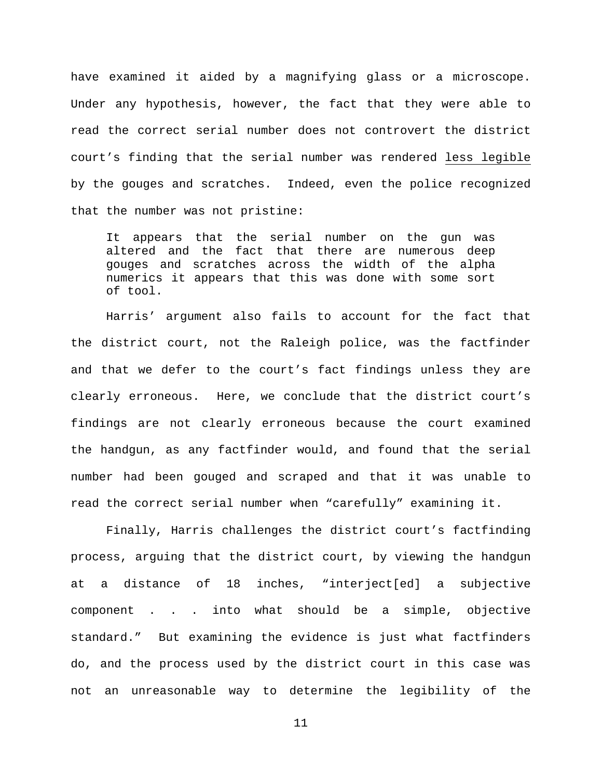have examined it aided by a magnifying glass or a microscope. Under any hypothesis, however, the fact that they were able to read the correct serial number does not controvert the district court's finding that the serial number was rendered less legible by the gouges and scratches. Indeed, even the police recognized that the number was not pristine:

It appears that the serial number on the gun was altered and the fact that there are numerous deep gouges and scratches across the width of the alpha numerics it appears that this was done with some sort of tool.

Harris' argument also fails to account for the fact that the district court, not the Raleigh police, was the factfinder and that we defer to the court's fact findings unless they are clearly erroneous. Here, we conclude that the district court's findings are not clearly erroneous because the court examined the handgun, as any factfinder would, and found that the serial number had been gouged and scraped and that it was unable to read the correct serial number when "carefully" examining it.

Finally, Harris challenges the district court's factfinding process, arguing that the district court, by viewing the handgun at a distance of 18 inches, "interject[ed] a subjective component . . . into what should be a simple, objective standard." But examining the evidence is just what factfinders do, and the process used by the district court in this case was not an unreasonable way to determine the legibility of the